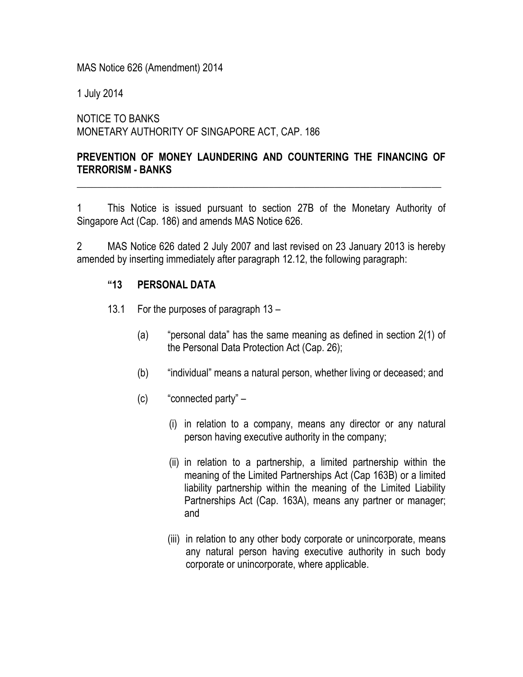MAS Notice 626 (Amendment) 2014

1 July 2014

NOTICE TO BANKS MONETARY AUTHORITY OF SINGAPORE ACT, CAP. 186

## **PREVENTION OF MONEY LAUNDERING AND COUNTERING THE FINANCING OF TERRORISM - BANKS**

\_\_\_\_\_\_\_\_\_\_\_\_\_\_\_\_\_\_\_\_\_\_\_\_\_\_\_\_\_\_\_\_\_\_\_\_\_\_\_\_\_\_\_\_\_\_\_\_\_\_\_\_\_\_\_\_\_\_\_\_\_\_\_\_\_\_\_\_\_\_\_\_

1 This Notice is issued pursuant to section 27B of the Monetary Authority of Singapore Act (Cap. 186) and amends MAS Notice 626.

2 MAS Notice 626 dated 2 July 2007 and last revised on 23 January 2013 is hereby amended by inserting immediately after paragraph 12.12, the following paragraph:

## **"13 PERSONAL DATA**

- 13.1 For the purposes of paragraph 13
	- (a) "personal data" has the same meaning as defined in section 2(1) of the Personal Data Protection Act (Cap. 26);
	- (b) "individual" means a natural person, whether living or deceased; and
	- (c) "connected party"
		- (i) in relation to a company, means any director or any natural person having executive authority in the company;
		- (ii) in relation to a partnership, a limited partnership within the meaning of the Limited Partnerships Act (Cap 163B) or a limited liability partnership within the meaning of the Limited Liability Partnerships Act (Cap. 163A), means any partner or manager; and
		- (iii) in relation to any other body corporate or unincorporate, means any natural person having executive authority in such body corporate or unincorporate, where applicable.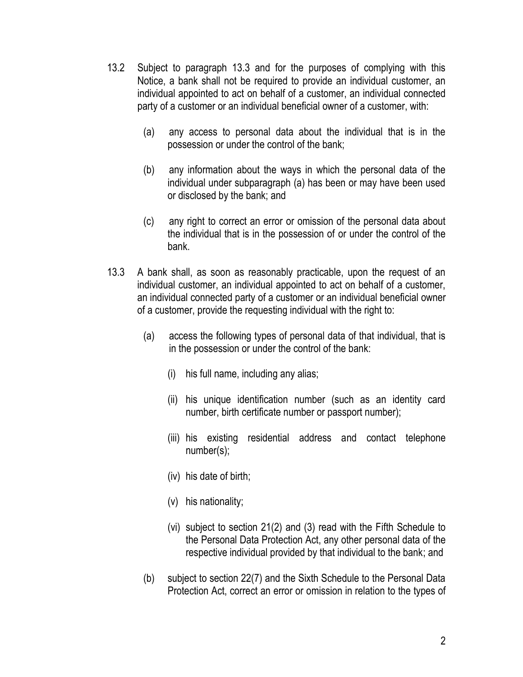- 13.2 Subject to paragraph 13.3 and for the purposes of complying with this Notice, a bank shall not be required to provide an individual customer, an individual appointed to act on behalf of a customer, an individual connected party of a customer or an individual beneficial owner of a customer, with:
	- (a) any access to personal data about the individual that is in the possession or under the control of the bank;
	- (b) any information about the ways in which the personal data of the individual under subparagraph (a) has been or may have been used or disclosed by the bank; and
	- (c) any right to correct an error or omission of the personal data about the individual that is in the possession of or under the control of the bank.
- 13.3 A bank shall, as soon as reasonably practicable, upon the request of an individual customer, an individual appointed to act on behalf of a customer, an individual connected party of a customer or an individual beneficial owner of a customer, provide the requesting individual with the right to:
	- (a) access the following types of personal data of that individual, that is in the possession or under the control of the bank:
		- (i) his full name, including any alias;
		- (ii) his unique identification number (such as an identity card number, birth certificate number or passport number);
		- (iii) his existing residential address and contact telephone number(s);
		- (iv) his date of birth;
		- (v) his nationality;
		- (vi) subject to section 21(2) and (3) read with the Fifth Schedule to the Personal Data Protection Act, any other personal data of the respective individual provided by that individual to the bank; and
	- (b) subject to section 22(7) and the Sixth Schedule to the Personal Data Protection Act, correct an error or omission in relation to the types of